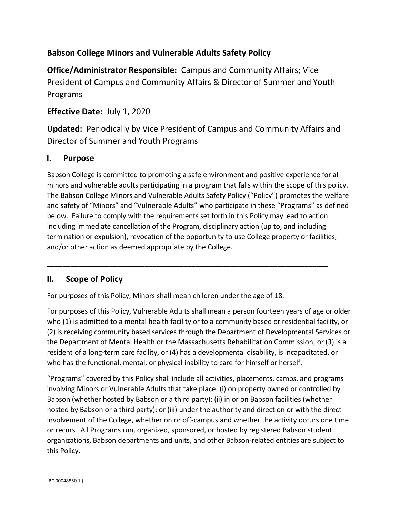## **Babson College Minors and Vulnerable Adults Safety Policy**

**Office/Administrator Responsible:** Campus and Community Affairs; Vice President of Campus and Community Affairs & Director of Summer and Youth Programs

## **Effective Date:** July 1, 2020

**Updated:** Periodically by Vice President of Campus and Community Affairs and Director of Summer and Youth Programs

## **I. Purpose**

Babson College is committed to promoting a safe environment and positive experience for all minors and vulnerable adults participating in a program that falls within the scope of this policy. The Babson College Minors and Vulnerable Adults Safety Policy ("Policy") promotes the welfare and safety of "Minors" and "Vulnerable Adults" who participate in these "Programs" as defined below. Failure to comply with the requirements set forth in this Policy may lead to action including immediate cancellation of the Program, disciplinary action (up to, and including termination or expulsion), revocation of the opportunity to use College property or facilities, and/or other action as deemed appropriate by the College.

\_\_\_\_\_\_\_\_\_\_\_\_\_\_\_\_\_\_\_\_\_\_\_\_\_\_\_\_\_\_\_\_\_\_\_\_\_\_\_\_\_\_\_\_\_\_\_\_\_\_\_\_\_\_\_\_\_\_\_\_\_\_\_\_\_\_\_\_\_\_\_\_

## **II. Scope of Policy**

For purposes of this Policy, Minors shall mean children under the age of 18.

For purposes of this Policy, Vulnerable Adults shall mean a person fourteen years of age or older who (1) is admitted to a mental health facility or to a community based or residential facility, or (2) is receiving community based services through the Department of Developmental Services or the Department of Mental Health or the Massachusetts Rehabilitation Commission, or (3) is a resident of a long-term care facility, or (4) has a developmental disability, is incapacitated, or who has the functional, mental, or physical inability to care for himself or herself.

"Programs" covered by this Policy shall include all activities, placements, camps, and programs involving Minors or Vulnerable Adults that take place: (i) on property owned or controlled by Babson (whether hosted by Babson or a third party); (ii) in or on Babson facilities (whether hosted by Babson or a third party); or (iii) under the authority and direction or with the direct involvement of the College, whether on or off-campus and whether the activity occurs one time or recurs. All Programs run, organized, sponsored, or hosted by registered Babson student organizations, Babson departments and units, and other Babson-related entities are subject to this Policy.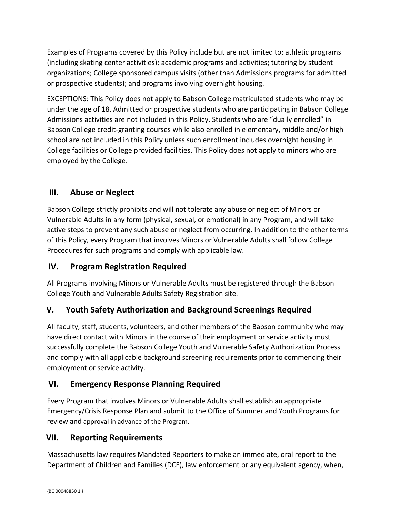Examples of Programs covered by this Policy include but are not limited to: athletic programs (including skating center activities); academic programs and activities; tutoring by student organizations; College sponsored campus visits (other than Admissions programs for admitted or prospective students); and programs involving overnight housing.

EXCEPTIONS: This Policy does not apply to Babson College matriculated students who may be under the age of 18. Admitted or prospective students who are participating in Babson College Admissions activities are not included in this Policy. Students who are "dually enrolled" in Babson College credit-granting courses while also enrolled in elementary, middle and/or high school are not included in this Policy unless such enrollment includes overnight housing in College facilities or College provided facilities. This Policy does not apply to minors who are employed by the College.

## **III. Abuse or Neglect**

Babson College strictly prohibits and will not tolerate any abuse or neglect of Minors or Vulnerable Adults in any form (physical, sexual, or emotional) in any Program, and will take active steps to prevent any such abuse or neglect from occurring. In addition to the other terms of this Policy, every Program that involves Minors or Vulnerable Adults shall follow College Procedures for such programs and comply with applicable law.

## **IV. Program Registration Required**

All Programs involving Minors or Vulnerable Adults must be registered through the Babson College Youth and Vulnerable Adults Safety Registration site.

## **V. Youth Safety Authorization and Background Screenings Required**

All faculty, staff, students, volunteers, and other members of the Babson community who may have direct contact with Minors in the course of their employment or service activity must successfully complete the Babson College Youth and Vulnerable Safety Authorization Process and comply with all applicable background screening requirements prior to commencing their employment or service activity.

## **VI. Emergency Response Planning Required**

Every Program that involves Minors or Vulnerable Adults shall establish an appropriate Emergency/Crisis Response Plan and submit to the Office of Summer and Youth Programs for review and approval in advance of the Program.

## **VII. Reporting Requirements**

[Massachusetts law](https://www.mass.gov/how-to/report-child-abuse-or-neglect) requires [Mandated Reporters](https://www.mass.gov/how-to/report-child-abuse-or-neglect-as-a-mandated-reporter) to make an immediate, oral report to the Department of Children and Families (DCF), law enforcement or any equivalent agency, when,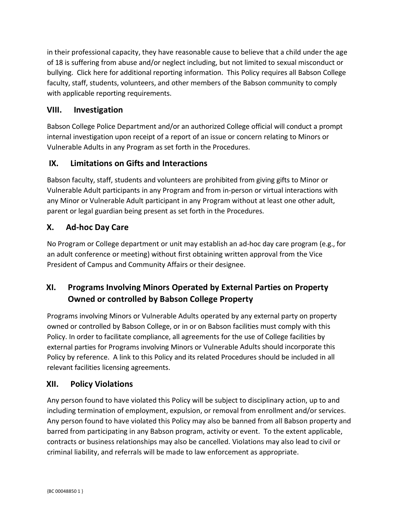in their professional capacity, they have reasonable cause to believe that a child under the age of 18 is suffering from abuse and/or neglect including, but not limited to sexual misconduct or bullying. Click here for additional reporting information. This Policy requires all Babson College faculty, staff, students, volunteers, and other members of the Babson community to comply with applicable reporting requirements.

## **VIII. Investigation**

Babson College Police Department and/or an authorized College official will conduct a prompt internal investigation upon receipt of a report of an issue or concern relating to Minors or Vulnerable Adults in any Program as set forth in the Procedures.

## **IX. Limitations on Gifts and Interactions**

Babson faculty, staff, students and volunteers are prohibited from giving gifts to Minor or Vulnerable Adult participants in any Program and from in-person or virtual interactions with any Minor or Vulnerable Adult participant in any Program without at least one other adult, parent or legal guardian being present as set forth in the Procedures.

## **X. Ad-hoc Day Care**

No Program or College department or unit may establish an ad-hoc day care program (e.g., for an adult conference or meeting) without first obtaining written approval from the Vice President of Campus and Community Affairs or their designee.

# **XI. Programs Involving Minors Operated by External Parties on Property Owned or controlled by Babson College Property**

Programs involving Minors or Vulnerable Adults operated by any external party on property owned or controlled by Babson College, or in or on Babson facilities must comply with this Policy. In order to facilitate compliance, all agreements for the use of College facilities by external parties for Programs involving Minors or Vulnerable Adults should incorporate this Policy by reference. A link to this Policy and its related Procedures should be included in all relevant facilities licensing agreements.

## **XII. Policy Violations**

Any person found to have violated this Policy will be subject to disciplinary action, up to and including termination of employment, expulsion, or removal from enrollment and/or services. Any person found to have violated this Policy may also be banned from all Babson property and barred from participating in any Babson program, activity or event. To the extent applicable, contracts or business relationships may also be cancelled. Violations may also lead to civil or criminal liability, and referrals will be made to law enforcement as appropriate.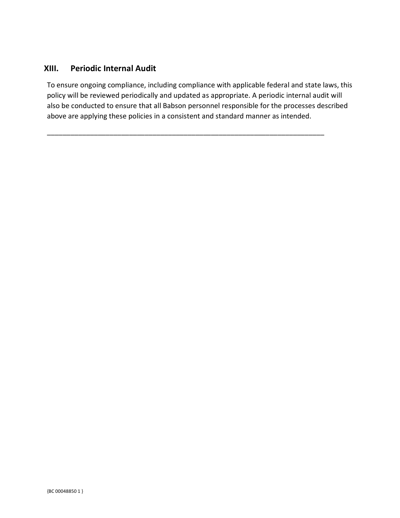#### **XIII. Periodic Internal Audit**

To ensure ongoing compliance, including compliance with applicable federal and state laws, this policy will be reviewed periodically and updated as appropriate. A periodic internal audit will also be conducted to ensure that all Babson personnel responsible for the processes described above are applying these policies in a consistent and standard manner as intended.

\_\_\_\_\_\_\_\_\_\_\_\_\_\_\_\_\_\_\_\_\_\_\_\_\_\_\_\_\_\_\_\_\_\_\_\_\_\_\_\_\_\_\_\_\_\_\_\_\_\_\_\_\_\_\_\_\_\_\_\_\_\_\_\_\_\_\_\_\_\_\_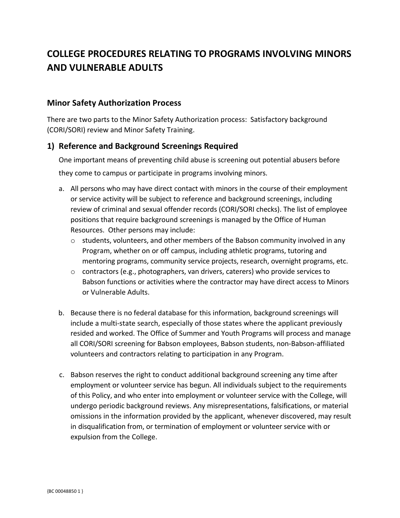# **COLLEGE PROCEDURES RELATING TO PROGRAMS INVOLVING MINORS AND VULNERABLE ADULTS**

#### **Minor Safety Authorization Process**

There are two parts to the Minor Safety Authorization process: Satisfactory background (CORI/SORI) review and Minor Safety Training.

#### **1) Reference and Background Screenings Required**

One important means of preventing child abuse is screening out potential abusers before they come to campus or participate in programs involving minors.

- a. All persons who may have direct contact with minors in the course of their employment or service activity will be subject to reference and background screenings, including review of criminal and sexual offender records (CORI/SORI checks). The list of employee positions that require background screenings is managed by the Office of Human Resources. Other persons may include:
	- $\circ$  students, volunteers, and other members of the Babson community involved in any Program, whether on or off campus, including athletic programs, tutoring and mentoring programs, community service projects, research, overnight programs, etc.
	- $\circ$  contractors (e.g., photographers, van drivers, caterers) who provide services to Babson functions or activities where the contractor may have direct access to Minors or Vulnerable Adults.
- b. Because there is no federal database for this information, background screenings will include a multi-state search, especially of those states where the applicant previously resided and worked. The Office of Summer and Youth Programs will process and manage all CORI/SORI screening for Babson employees, Babson students, non-Babson-affiliated volunteers and contractors relating to participation in any Program.
- c. Babson reserves the right to conduct additional background screening any time after employment or volunteer service has begun. All individuals subject to the requirements of this Policy, and who enter into employment or volunteer service with the College, will undergo periodic background reviews. Any misrepresentations, falsifications, or material omissions in the information provided by the applicant, whenever discovered, may result in disqualification from, or termination of employment or volunteer service with or expulsion from the College.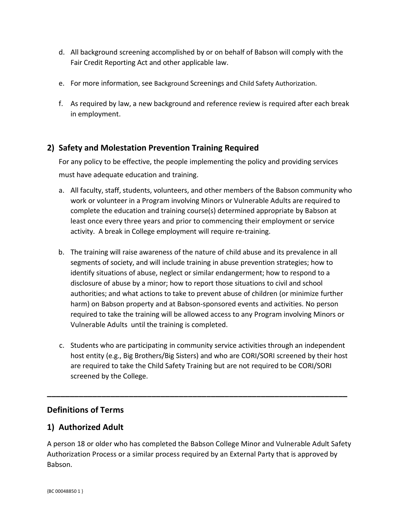- d. All background screening accomplished by or on behalf of Babson will comply with the Fair Credit Reporting Act and other applicable law.
- e. For more information, see Background Screenings and Child Safety Authorization.
- f. As required by law, a new background and reference review is required after each break in employment.

## **2) Safety and Molestation Prevention Training Required**

For any policy to be effective, the people implementing the policy and providing services must have adequate education and training.

- a. All faculty, staff, students, volunteers, and other members of the Babson community who work or volunteer in a Program involving Minors or Vulnerable Adults are required to complete the education and training course(s) determined appropriate by Babson at least once every three years and prior to commencing their employment or service activity. A break in College employment will require re-training.
- b. The training will raise awareness of the nature of child abuse and its prevalence in all segments of society, and will include training in abuse prevention strategies; how to identify situations of abuse, neglect or similar endangerment; how to respond to a disclosure of abuse by a minor; how to report those situations to civil and school authorities; and what actions to take to prevent abuse of children (or minimize further harm) on Babson property and at Babson-sponsored events and activities. No person required to take the training will be allowed access to any Program involving Minors or Vulnerable Adults until the training is completed.
- c. Students who are participating in community service activities through an independent host entity (e.g., Big Brothers/Big Sisters) and who are CORI/SORI screened by their host are required to take the Child Safety Training but are not required to be CORI/SORI screened by the College.

**\_\_\_\_\_\_\_\_\_\_\_\_\_\_\_\_\_\_\_\_\_\_\_\_\_\_\_\_\_\_\_\_\_\_\_\_\_\_\_\_\_\_\_\_\_\_\_\_\_\_\_\_\_\_\_\_\_\_\_\_\_\_\_\_\_\_**

## **Definitions of Terms**

#### **1) Authorized Adult**

A person 18 or older who has completed the Babson College Minor and Vulnerable Adult Safety Authorization Process or a similar process required by an External Party that is approved by Babson.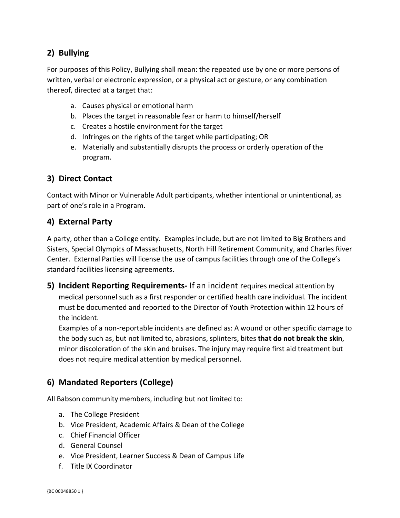## **2) Bullying**

For purposes of this Policy, Bullying shall mean: the repeated use by one or more persons of written, verbal or electronic expression, or a physical act or gesture, or any combination thereof, directed at a target that:

- a. Causes physical or emotional harm
- b. Places the target in reasonable fear or harm to himself/herself
- c. Creates a hostile environment for the target
- d. Infringes on the rights of the target while participating; OR
- e. Materially and substantially disrupts the process or orderly operation of the program.

## **3) Direct Contact**

Contact with Minor or Vulnerable Adult participants, whether intentional or unintentional, as part of one's role in a Program.

#### **4) External Party**

A party, other than a College entity. Examples include, but are not limited to Big Brothers and Sisters, Special Olympics of Massachusetts, North Hill Retirement Community, and Charles River Center. External Parties will license the use of campus facilities through one of the College's standard facilities licensing agreements.

**5) Incident Reporting Requirements-** If an incident requires medical attention by medical personnel such as a first responder or certified health care individual. The incident must be documented and reported to the Director of Youth Protection within 12 hours of the incident.

Examples of a non-reportable incidents are defined as: A wound or other specific damage to the body such as, but not limited to, abrasions, splinters, bites **that do not break the skin**, minor discoloration of the skin and bruises. The injury may require first aid treatment but does not require medical attention by medical personnel.

## **6) Mandated Reporters (College)**

All Babson community members, including but not limited to:

- a. The College President
- b. Vice President, Academic Affairs & Dean of the College
- c. Chief Financial Officer
- d. General Counsel
- e. Vice President, Learner Success & Dean of Campus Life
- f. Title IX Coordinator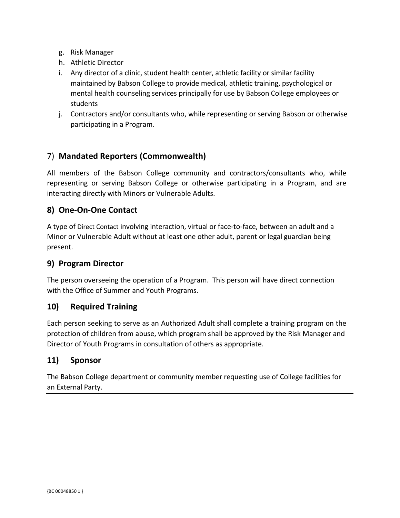- g. Risk Manager
- h. Athletic Director
- i. Any director of a clinic, student health center, athletic facility or similar facility maintained by Babson College to provide medical, athletic training, psychological or mental health counseling services principally for use by Babson College employees or students
- j. Contractors and/or consultants who, while representing or serving Babson or otherwise participating in a Program.

## 7) **Mandated Reporters (Commonwealth)**

All members of the Babson College community and contractors/consultants who, while representing or serving Babson College or otherwise participating in a Program, and are interacting directly with Minors or Vulnerable Adults.

#### **8) One-On-One Contact**

A type of Direct Contact involving interaction, virtual or face-to-face, between an adult and a Minor or Vulnerable Adult without at least one other adult, parent or legal guardian being present.

#### **9) Program Director**

The person overseeing the operation of a Program. This person will have direct connection with the Office of Summer and Youth Programs.

#### **10) Required Training**

Each person seeking to serve as an Authorized Adult shall complete a training program on the protection of children from abuse, which program shall be approved by the Risk Manager and Director of Youth Programs in consultation of others as appropriate.

#### **11) Sponsor**

The Babson College department or community member requesting use of College facilities for an External Party.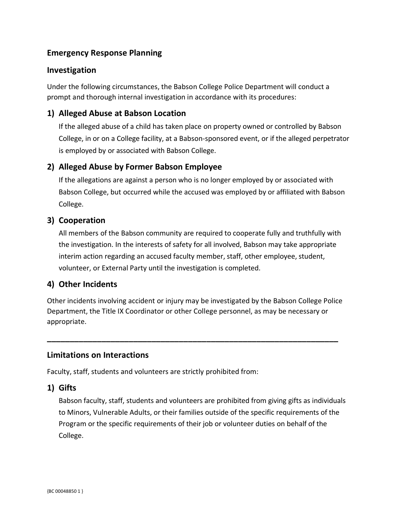## **Emergency Response Planning**

#### **Investigation**

Under the following circumstances, the Babson College Police Department will conduct a prompt and thorough internal investigation in accordance with its procedures:

#### **1) Alleged Abuse at Babson Location**

If the alleged abuse of a child has taken place on property owned or controlled by Babson College, in or on a College facility, at a Babson-sponsored event, or if the alleged perpetrator is employed by or associated with Babson College.

#### **2) Alleged Abuse by Former Babson Employee**

If the allegations are against a person who is no longer employed by or associated with Babson College, but occurred while the accused was employed by or affiliated with Babson College.

#### **3) Cooperation**

All members of the Babson community are required to cooperate fully and truthfully with the investigation. In the interests of safety for all involved, Babson may take appropriate interim action regarding an accused faculty member, staff, other employee, student, volunteer, or External Party until the investigation is completed.

#### **4) Other Incidents**

Other incidents involving accident or injury may be investigated by the Babson College Police Department, the Title IX Coordinator or other College personnel, as may be necessary or appropriate.

**\_\_\_\_\_\_\_\_\_\_\_\_\_\_\_\_\_\_\_\_\_\_\_\_\_\_\_\_\_\_\_\_\_\_\_\_\_\_\_\_\_\_\_\_\_\_\_\_\_\_\_\_\_\_\_\_\_\_\_\_\_\_\_\_**

#### **Limitations on Interactions**

Faculty, staff, students and volunteers are strictly prohibited from:

#### **1) Gifts**

Babson faculty, staff, students and volunteers are prohibited from giving gifts as individuals to Minors, Vulnerable Adults, or their families outside of the specific requirements of the Program or the specific requirements of their job or volunteer duties on behalf of the College.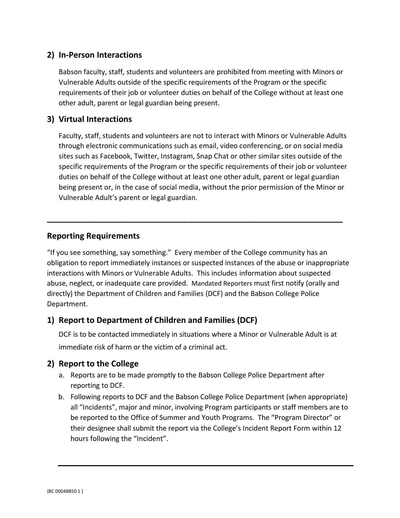## **2) In-Person Interactions**

Babson faculty, staff, students and volunteers are prohibited from meeting with Minors or Vulnerable Adults outside of the specific requirements of the Program or the specific requirements of their job or volunteer duties on behalf of the College without at least one other adult, parent or legal guardian being present.

## **3) Virtual Interactions**

Faculty, staff, students and volunteers are not to interact with Minors or Vulnerable Adults through electronic communications such as email, video conferencing, or on social media sites such as Facebook, Twitter, Instagram, Snap Chat or other similar sites outside of the specific requirements of the Program or the specific requirements of their job or volunteer duties on behalf of the College without at least one other adult, parent or legal guardian being present or, in the case of social media, without the prior permission of the Minor or Vulnerable Adult's parent or legal guardian.

## **Reporting Requirements**

"If you see something, say something." Every member of the College community has an obligation to report immediately instances or suspected instances of the abuse or inappropriate interactions with Minors or Vulnerable Adults. This includes information about suspected abuse, neglect, or inadequate care provided. Mandated Reporters must first notify (orally and directly) the Department of Children and Families (DCF) and the Babson College Police Department.

**\_\_\_\_\_\_\_\_\_\_\_\_\_\_\_\_\_\_\_\_\_\_\_\_\_\_\_\_\_\_\_\_\_\_\_\_\_\_\_\_\_\_\_\_\_\_\_\_\_\_\_\_\_\_\_\_\_\_\_\_\_\_\_\_\_**

## **1) Report to Department of Children and Families (DCF)**

DCF is to be contacted immediately in situations where a Minor or Vulnerable Adult is at immediate risk of harm or the victim of a criminal act.

## **2) Report to the College**

- a. Reports are to be made promptly to the Babson College Police Department after reporting to DCF.
- b. Following reports to DCF and the Babson College Police Department (when appropriate) all "Incidents", major and minor, involving Program participants or staff members are to be reported to the Office of Summer and Youth Programs. The "Program Director" or their designee shall submit the report via the College's Incident Report Form within 12 hours following the "Incident".